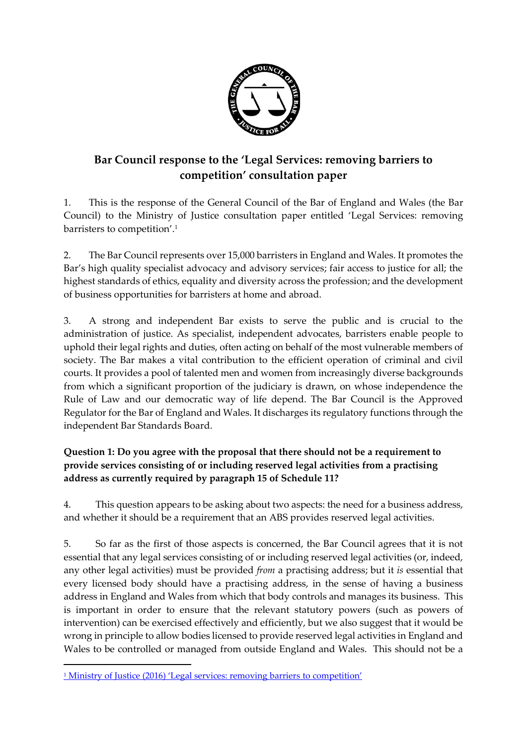

# **Bar Council response to the 'Legal Services: removing barriers to competition' consultation paper**

1. This is the response of the General Council of the Bar of England and Wales (the Bar Council) to the Ministry of Justice consultation paper entitled 'Legal Services: removing barristers to competition'. 1

2. The Bar Council represents over 15,000 barristers in England and Wales. It promotes the Bar's high quality specialist advocacy and advisory services; fair access to justice for all; the highest standards of ethics, equality and diversity across the profession; and the development of business opportunities for barristers at home and abroad.

3. A strong and independent Bar exists to serve the public and is crucial to the administration of justice. As specialist, independent advocates, barristers enable people to uphold their legal rights and duties, often acting on behalf of the most vulnerable members of society. The Bar makes a vital contribution to the efficient operation of criminal and civil courts. It provides a pool of talented men and women from increasingly diverse backgrounds from which a significant proportion of the judiciary is drawn, on whose independence the Rule of Law and our democratic way of life depend. The Bar Council is the Approved Regulator for the Bar of England and Wales. It discharges its regulatory functions through the independent Bar Standards Board.

## **Question 1: Do you agree with the proposal that there should not be a requirement to provide services consisting of or including reserved legal activities from a practising address as currently required by paragraph 15 of Schedule 11?**

4. This question appears to be asking about two aspects: the need for a business address, and whether it should be a requirement that an ABS provides reserved legal activities.

5. So far as the first of those aspects is concerned, the Bar Council agrees that it is not essential that any legal services consisting of or including reserved legal activities (or, indeed, any other legal activities) must be provided *from* a practising address; but it *is* essential that every licensed body should have a practising address, in the sense of having a business address in England and Wales from which that body controls and manages its business. This is important in order to ensure that the relevant statutory powers (such as powers of intervention) can be exercised effectively and efficiently, but we also suggest that it would be wrong in principle to allow bodies licensed to provide reserved legal activities in England and Wales to be controlled or managed from outside England and Wales. This should not be a

 $\overline{a}$ 

<sup>&</sup>lt;sup>1</sup> [Ministry of Justice \(2016\) 'Legal services: removing barriers](https://consult.justice.gov.uk/digital-communications/legal-services-removing-barriers-to-competition) to competition'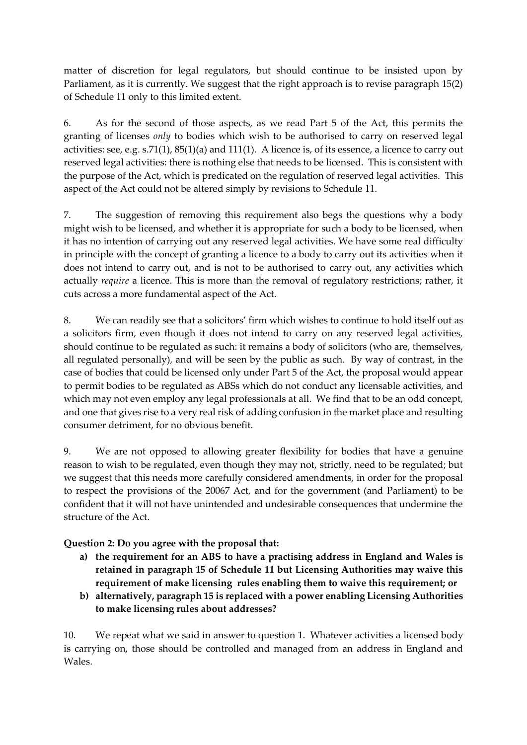matter of discretion for legal regulators, but should continue to be insisted upon by Parliament, as it is currently. We suggest that the right approach is to revise paragraph 15(2) of Schedule 11 only to this limited extent.

6. As for the second of those aspects, as we read Part 5 of the Act, this permits the granting of licenses *only* to bodies which wish to be authorised to carry on reserved legal activities: see, e.g. s.71(1), 85(1)(a) and 111(1). A licence is, of its essence, a licence to carry out reserved legal activities: there is nothing else that needs to be licensed. This is consistent with the purpose of the Act, which is predicated on the regulation of reserved legal activities. This aspect of the Act could not be altered simply by revisions to Schedule 11.

7. The suggestion of removing this requirement also begs the questions why a body might wish to be licensed, and whether it is appropriate for such a body to be licensed, when it has no intention of carrying out any reserved legal activities. We have some real difficulty in principle with the concept of granting a licence to a body to carry out its activities when it does not intend to carry out, and is not to be authorised to carry out, any activities which actually *require* a licence. This is more than the removal of regulatory restrictions; rather, it cuts across a more fundamental aspect of the Act.

8. We can readily see that a solicitors' firm which wishes to continue to hold itself out as a solicitors firm, even though it does not intend to carry on any reserved legal activities, should continue to be regulated as such: it remains a body of solicitors (who are, themselves, all regulated personally), and will be seen by the public as such. By way of contrast, in the case of bodies that could be licensed only under Part 5 of the Act, the proposal would appear to permit bodies to be regulated as ABSs which do not conduct any licensable activities, and which may not even employ any legal professionals at all. We find that to be an odd concept, and one that gives rise to a very real risk of adding confusion in the market place and resulting consumer detriment, for no obvious benefit.

9. We are not opposed to allowing greater flexibility for bodies that have a genuine reason to wish to be regulated, even though they may not, strictly, need to be regulated; but we suggest that this needs more carefully considered amendments, in order for the proposal to respect the provisions of the 20067 Act, and for the government (and Parliament) to be confident that it will not have unintended and undesirable consequences that undermine the structure of the Act.

**Question 2: Do you agree with the proposal that:**

- **a) the requirement for an ABS to have a practising address in England and Wales is retained in paragraph 15 of Schedule 11 but Licensing Authorities may waive this requirement of make licensing rules enabling them to waive this requirement; or**
- **b) alternatively, paragraph 15 is replaced with a power enabling Licensing Authorities to make licensing rules about addresses?**

10. We repeat what we said in answer to question 1. Whatever activities a licensed body is carrying on, those should be controlled and managed from an address in England and Wales.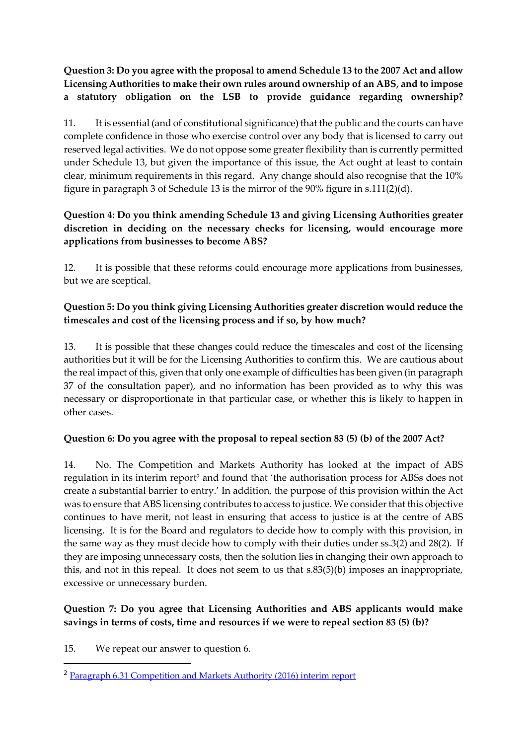**Question 3: Do you agree with the proposal to amend Schedule 13 to the 2007 Act and allow Licensing Authorities to make their own rules around ownership of an ABS, and to impose a statutory obligation on the LSB to provide guidance regarding ownership?**

11. It is essential (and of constitutional significance) that the public and the courts can have complete confidence in those who exercise control over any body that is licensed to carry out reserved legal activities. We do not oppose some greater flexibility than is currently permitted under Schedule 13, but given the importance of this issue, the Act ought at least to contain clear, minimum requirements in this regard. Any change should also recognise that the 10% figure in paragraph 3 of Schedule 13 is the mirror of the 90% figure in s.111(2)(d).

#### **Question 4: Do you think amending Schedule 13 and giving Licensing Authorities greater discretion in deciding on the necessary checks for licensing, would encourage more applications from businesses to become ABS?**

12. It is possible that these reforms could encourage more applications from businesses, but we are sceptical.

## **Question 5: Do you think giving Licensing Authorities greater discretion would reduce the timescales and cost of the licensing process and if so, by how much?**

13. It is possible that these changes could reduce the timescales and cost of the licensing authorities but it will be for the Licensing Authorities to confirm this. We are cautious about the real impact of this, given that only one example of difficulties has been given (in paragraph 37 of the consultation paper), and no information has been provided as to why this was necessary or disproportionate in that particular case, or whether this is likely to happen in other cases.

#### **Question 6: Do you agree with the proposal to repeal section 83 (5) (b) of the 2007 Act?**

14. No. The Competition and Markets Authority has looked at the impact of ABS regulation in its interim report<sup>2</sup> and found that 'the authorisation process for ABSs does not create a substantial barrier to entry.' In addition, the purpose of this provision within the Act was to ensure that ABS licensing contributes to access to justice. We consider that this objective continues to have merit, not least in ensuring that access to justice is at the centre of ABS licensing. It is for the Board and regulators to decide how to comply with this provision, in the same way as they must decide how to comply with their duties under ss.3(2) and 28(2). If they are imposing unnecessary costs, then the solution lies in changing their own approach to this, and not in this repeal. It does not seem to us that s.83(5)(b) imposes an inappropriate, excessive or unnecessary burden.

## **Question 7: Do you agree that Licensing Authorities and ABS applicants would make savings in terms of costs, time and resources if we were to repeal section 83 (5) (b)?**

15. We repeat our answer to question 6.

1

<sup>2</sup> [Paragraph 6.31 Competition and Markets Authority \(2016\) interim report](https://assets.publishing.service.gov.uk/media/577f76daed915d622c0000ef/legal-services-market-study-interim-report.pdf)